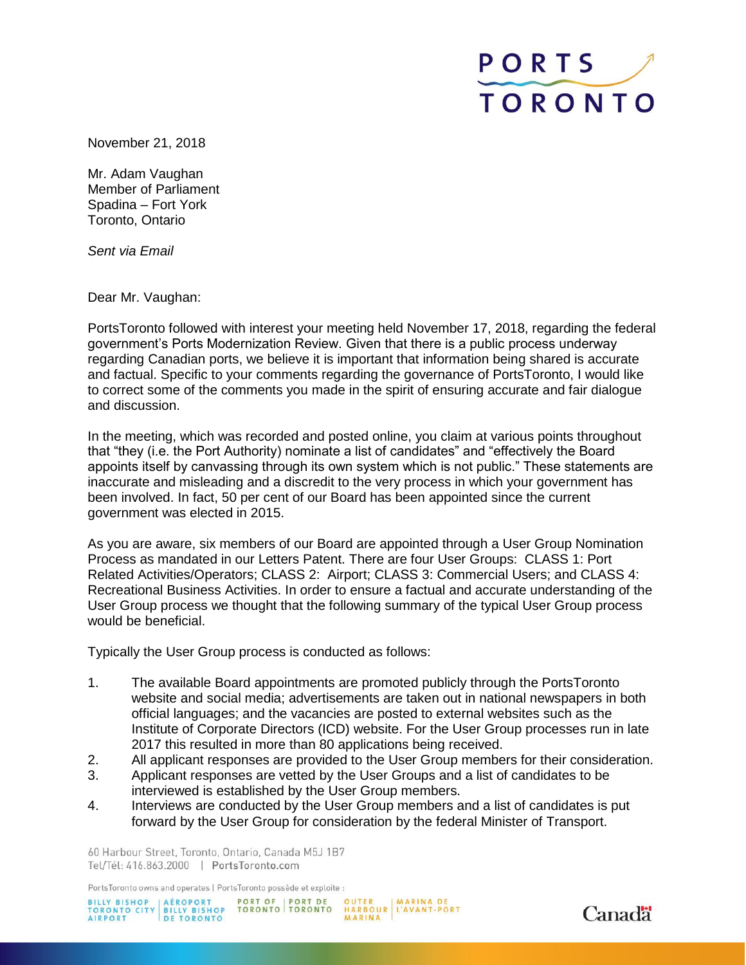

November 21, 2018

Mr. Adam Vaughan Member of Parliament Spadina – Fort York Toronto, Ontario

*Sent via Email*

Dear Mr. Vaughan:

PortsToronto followed with interest your meeting held November 17, 2018, regarding the federal government's Ports Modernization Review. Given that there is a public process underway regarding Canadian ports, we believe it is important that information being shared is accurate and factual. Specific to your comments regarding the governance of PortsToronto, I would like to correct some of the comments you made in the spirit of ensuring accurate and fair dialogue and discussion.

In the meeting, which was recorded and posted online, you claim at various points throughout that "they (i.e. the Port Authority) nominate a list of candidates" and "effectively the Board appoints itself by canvassing through its own system which is not public." These statements are inaccurate and misleading and a discredit to the very process in which your government has been involved. In fact, 50 per cent of our Board has been appointed since the current government was elected in 2015.

As you are aware, six members of our Board are appointed through a User Group Nomination Process as mandated in our Letters Patent. There are four User Groups: CLASS 1: Port Related Activities/Operators; CLASS 2: Airport; CLASS 3: Commercial Users; and CLASS 4: Recreational Business Activities. In order to ensure a factual and accurate understanding of the User Group process we thought that the following summary of the typical User Group process would be beneficial.

Typically the User Group process is conducted as follows:

- 1. The available Board appointments are promoted publicly through the PortsToronto website and social media; advertisements are taken out in national newspapers in both official languages; and the vacancies are posted to external websites such as the Institute of Corporate Directors (ICD) website. For the User Group processes run in late 2017 this resulted in more than 80 applications being received.
- 2. All applicant responses are provided to the User Group members for their consideration.
- 3. Applicant responses are vetted by the User Groups and a list of candidates to be interviewed is established by the User Group members.
- 4. Interviews are conducted by the User Group members and a list of candidates is put forward by the User Group for consideration by the federal Minister of Transport.

60 Harbour Street, Toronto, Ontario, Canada M5J 1B7 Tel/Tél: 416.863.2000 | PortsToronto.com

PortsToronto owns and operates | PortsToronto possède et exploite :

PORT OF | PORT DE OUTER | MARINA DE<br>TORONTO | TORONTO HARBOUR | L'AVANT-PORT<br>| MARINA BILLY BISHOP<br>TORONTO CITY BILLY BISHOP<br>AIRPORT DE TORONTO